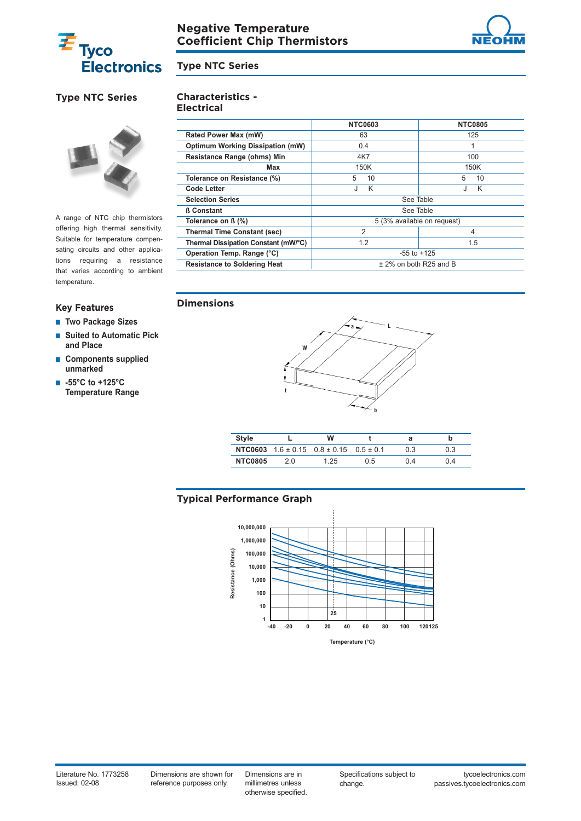



# **Type NTC Series**

## **Characteristics - Electrical**

**Type NTC Series**

|                                         | <b>NTC0603</b>              | <b>NTC0805</b> |  |
|-----------------------------------------|-----------------------------|----------------|--|
| Rated Power Max (mW)                    | 63                          | 125            |  |
| <b>Optimum Working Dissipation (mW)</b> | 0.4                         | 1              |  |
| Resistance Range (ohms) Min             | 4K7                         | 100            |  |
| Max                                     | 150K                        | 150K           |  |
| Tolerance on Resistance (%)             | 10<br>5                     | 5<br>10        |  |
| <b>Code Letter</b>                      | K<br>J                      | K              |  |
| <b>Selection Series</b>                 | See Table                   |                |  |
| <b>B</b> Constant                       | See Table                   |                |  |
| Tolerance on B (%)                      | 5 (3% available on request) |                |  |
| <b>Thermal Time Constant (sec)</b>      | $\overline{2}$<br>4         |                |  |
| Thermal Dissipation Constant (mW/°C)    | 1.2                         | 1.5            |  |
| Operation Temp. Range (°C)              | $-55$ to $+125$             |                |  |
| <b>Resistance to Soldering Heat</b>     | $\pm$ 2% on both R25 and B  |                |  |

# **Dimensions**



temperature.

■ **Suited to Automatic Pick and Place**

A range of NTC chip thermistors offering high thermal sensitivity. Suitable for temperature compensating circuits and other applications requiring a resistance that varies according to ambient

- **Components supplied unmarked**
- **-55°C to +125°C Temperature Range**



| Style          |     | w                                                          |     |     |     |
|----------------|-----|------------------------------------------------------------|-----|-----|-----|
|                |     | <b>NTC0603</b> $1.6 \pm 0.15$ $0.8 \pm 0.15$ $0.5 \pm 0.1$ |     | 0.3 | 0.3 |
| <b>NTC0805</b> | 2 O | 1.25                                                       | 0.5 | 0.4 | በ 4 |

# **Typical Performance Graph**



Dimensions are in millimetres unless otherwise specified. Specifications subject to change.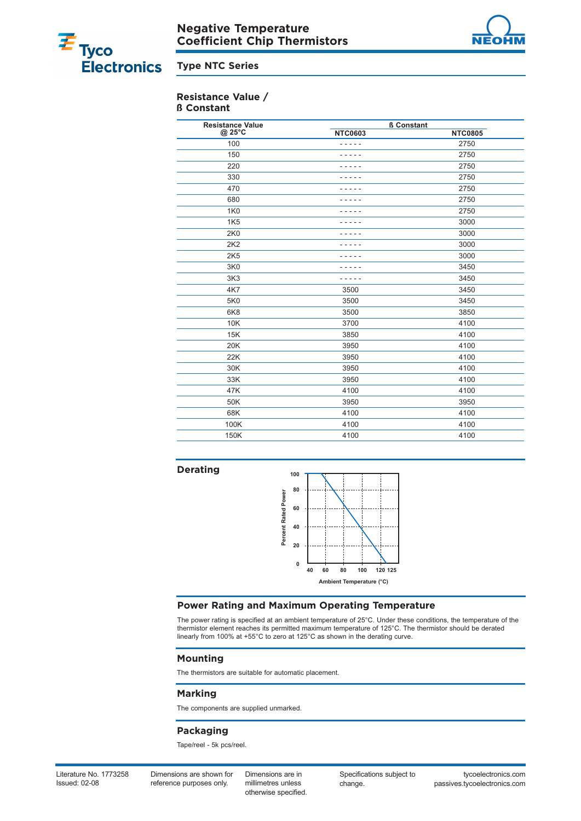



# **Type NTC Series**

## **Resistance Value / ß Constant**

| <b>Resistance Value</b> | <b>ß</b> Constant |                |  |
|-------------------------|-------------------|----------------|--|
| @ 25°C                  | <b>NTC0603</b>    | <b>NTC0805</b> |  |
| 100                     |                   | 2750           |  |
| 150                     |                   | 2750           |  |
| 220                     |                   | 2750           |  |
| 330                     |                   | 2750           |  |
| 470                     |                   | 2750           |  |
| 680                     |                   | 2750           |  |
| <b>1K0</b>              |                   | 2750           |  |
| <b>1K5</b>              |                   | 3000           |  |
| 2K <sub>0</sub>         |                   | 3000           |  |
| 2K2                     |                   | 3000           |  |
| 2K5                     |                   | 3000           |  |
| 3K0                     | - - - - -         | 3450           |  |
| 3K <sub>3</sub>         |                   | 3450           |  |
| 4K7                     | 3500              | 3450           |  |
| 5K0                     | 3500              | 3450           |  |
| 6K <sub>8</sub>         | 3500              | 3850           |  |
| 10K                     | 3700              | 4100           |  |
| 15K                     | 3850              | 4100           |  |
| 20K                     | 3950              | 4100           |  |
| 22K                     | 3950              | 4100           |  |
| 30K                     | 3950              | 4100           |  |
| 33K                     | 3950              | 4100           |  |
| 47K                     | 4100              | 4100           |  |
| 50K                     | 3950              | 3950           |  |
| 68K                     | 4100              | 4100           |  |
| 100K                    | 4100              | 4100           |  |
| 150K                    | 4100              | 4100           |  |
|                         |                   |                |  |

**Derating**



# **Power Rating and Maximum Operating Temperature**

The power rating is specified at an ambient temperature of 25°C. Under these conditions, the temperature of the thermistor element reaches its permitted maximum temperature of 125°C. The thermistor should be derated linearly from 100% at +55°C to zero at 125°C as shown in the derating curve.

#### **Mounting**

The thermistors are suitable for automatic placement.

#### **Marking**

The components are supplied unmarked.

## **Packaging**

Tape/reel - 5k pcs/reel.

Literature No. 1773258 Issued: 02-08

Dimensions are shown for reference purposes only.

Dimensions are in millimetres unless otherwise specified. Specifications subject to change.

tycoelectronics.com passives.tycoelectronics.com